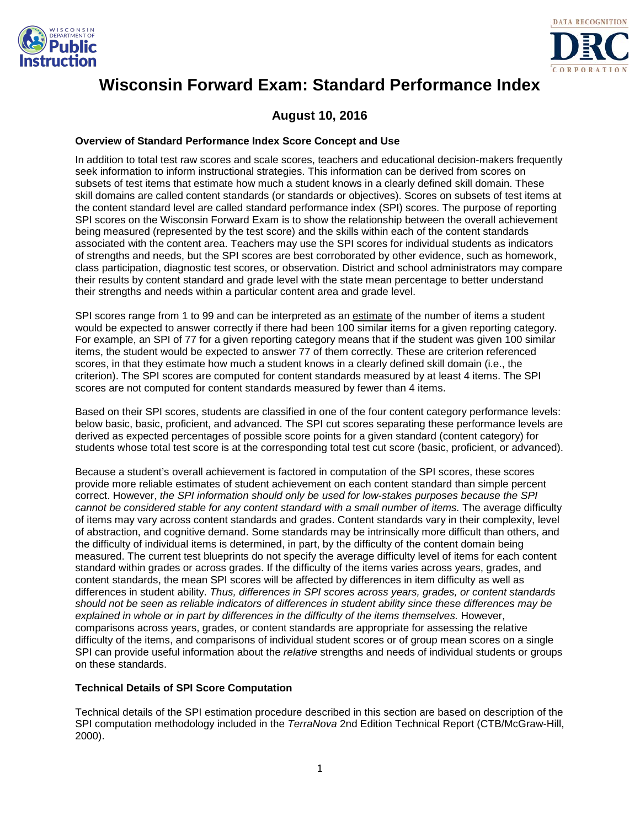



# **Wisconsin Forward Exam: Standard Performance Index**

# **August 10, 2016**

## **Overview of Standard Performance Index Score Concept and Use**

In addition to total test raw scores and scale scores, teachers and educational decision-makers frequently seek information to inform instructional strategies. This information can be derived from scores on subsets of test items that estimate how much a student knows in a clearly defined skill domain. These skill domains are called content standards (or standards or objectives). Scores on subsets of test items at the content standard level are called standard performance index (SPI) scores. The purpose of reporting SPI scores on the Wisconsin Forward Exam is to show the relationship between the overall achievement being measured (represented by the test score) and the skills within each of the content standards associated with the content area. Teachers may use the SPI scores for individual students as indicators of strengths and needs, but the SPI scores are best corroborated by other evidence, such as homework, class participation, diagnostic test scores, or observation. District and school administrators may compare their results by content standard and grade level with the state mean percentage to better understand their strengths and needs within a particular content area and grade level.

SPI scores range from 1 to 99 and can be interpreted as an estimate of the number of items a student would be expected to answer correctly if there had been 100 similar items for a given reporting category. For example, an SPI of 77 for a given reporting category means that if the student was given 100 similar items, the student would be expected to answer 77 of them correctly. These are criterion referenced scores, in that they estimate how much a student knows in a clearly defined skill domain (i.e., the criterion). The SPI scores are computed for content standards measured by at least 4 items. The SPI scores are not computed for content standards measured by fewer than 4 items.

Based on their SPI scores, students are classified in one of the four content category performance levels: below basic, basic, proficient, and advanced. The SPI cut scores separating these performance levels are derived as expected percentages of possible score points for a given standard (content category) for students whose total test score is at the corresponding total test cut score (basic, proficient, or advanced).

Because a student's overall achievement is factored in computation of the SPI scores, these scores provide more reliable estimates of student achievement on each content standard than simple percent correct. However, *the SPI information should only be used for low-stakes purposes because the SPI cannot be considered stable for any content standard with a small number of items.* The average difficulty of items may vary across content standards and grades. Content standards vary in their complexity, level of abstraction, and cognitive demand. Some standards may be intrinsically more difficult than others, and the difficulty of individual items is determined, in part, by the difficulty of the content domain being measured. The current test blueprints do not specify the average difficulty level of items for each content standard within grades or across grades. If the difficulty of the items varies across years, grades, and content standards, the mean SPI scores will be affected by differences in item difficulty as well as differences in student ability. *Thus, differences in SPI scores across years, grades, or content standards should not be seen as reliable indicators of differences in student ability since these differences may be explained in whole or in part by differences in the difficulty of the items themselves.* However, comparisons across years, grades, or content standards are appropriate for assessing the relative difficulty of the items, and comparisons of individual student scores or of group mean scores on a single SPI can provide useful information about the *relative* strengths and needs of individual students or groups on these standards.

## **Technical Details of SPI Score Computation**

Technical details of the SPI estimation procedure described in this section are based on description of the SPI computation methodology included in the *TerraNova* 2nd Edition Technical Report (CTB/McGraw-Hill, 2000).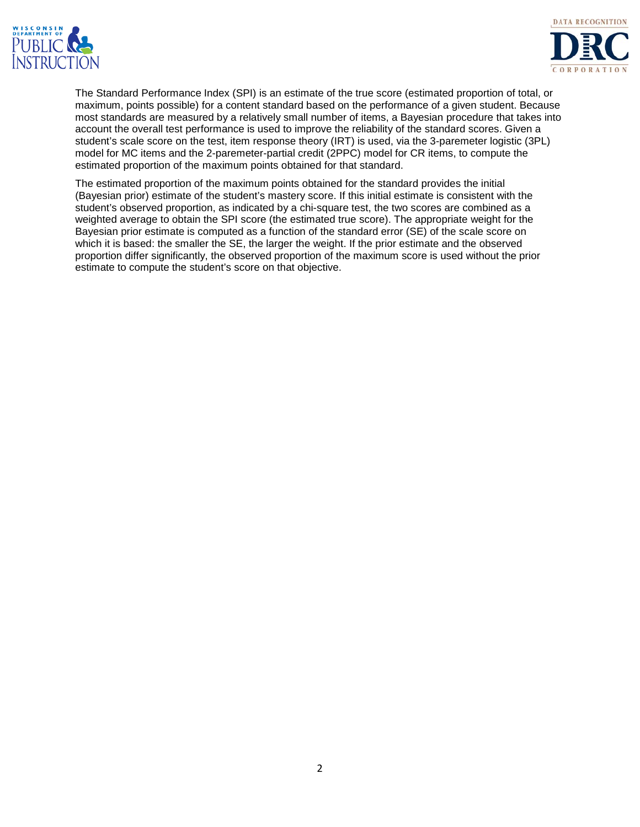



The Standard Performance Index (SPI) is an estimate of the true score (estimated proportion of total, or maximum, points possible) for a content standard based on the performance of a given student. Because most standards are measured by a relatively small number of items, a Bayesian procedure that takes into account the overall test performance is used to improve the reliability of the standard scores. Given a student's scale score on the test, item response theory (IRT) is used, via the 3-paremeter logistic (3PL) model for MC items and the 2-paremeter-partial credit (2PPC) model for CR items, to compute the estimated proportion of the maximum points obtained for that standard.

The estimated proportion of the maximum points obtained for the standard provides the initial (Bayesian prior) estimate of the student's mastery score. If this initial estimate is consistent with the student's observed proportion, as indicated by a chi-square test, the two scores are combined as a weighted average to obtain the SPI score (the estimated true score). The appropriate weight for the Bayesian prior estimate is computed as a function of the standard error (SE) of the scale score on which it is based: the smaller the SE, the larger the weight. If the prior estimate and the observed proportion differ significantly, the observed proportion of the maximum score is used without the prior estimate to compute the student's score on that objective.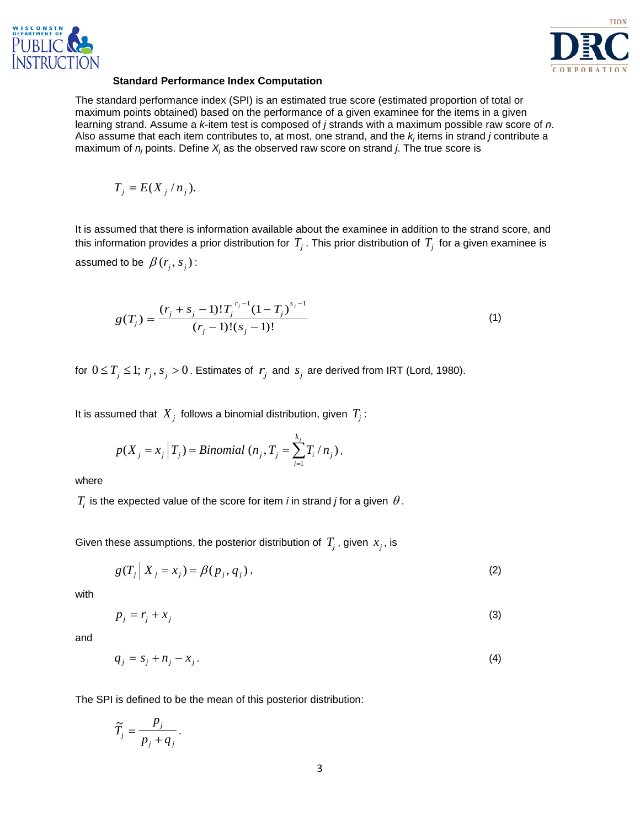



#### **Standard Performance Index Computation**

The standard performance index (SPI) is an estimated true score (estimated proportion of total or maximum points obtained) based on the performance of a given examinee for the items in a given learning strand. Assume a *k*-item test is composed of *j* strands with a maximum possible raw score of *n*. Also assume that each item contributes to, at most, one strand, and the *kj* items in strand *j* contribute a maximum of *nj* points. Define *Xj* as the observed raw score on strand *j*. The true score is

$$
T_j \equiv E(X_j/n_j).
$$

It is assumed that there is information available about the examinee in addition to the strand score, and this information provides a prior distribution for  $T_j$ . This prior distribution of  $T_j$  for a given examinee is assumed to be  $\beta(r_i, s_j)$ :

$$
g(T_j) = \frac{(r_j + s_j - 1)!T_j^{r_j - 1}(1 - T_j)^{s_j - 1}}{(r_j - 1)!(s_j - 1)!}
$$
\n(1)

for  $0 \le T_j \le 1$ ;  $r_j$ ,  $s_j > 0$ . Estimates of  $r_j$  and  $s_j$  are derived from IRT (Lord, 1980).

It is assumed that  $X_j$  follows a binomial distribution, given  $T_j$ :

$$
p(X_j = x_j | T_j) = Binomial (n_j, T_j = \sum_{i=1}^{k_j} T_i / n_j),
$$

where

 $T_i$  is the expected value of the score for item *i* in strand *j* for a given  $\theta$ .

Given these assumptions, the posterior distribution of  $T_j$ , given  $x_j$ , is

$$
g(T_j | X_j = x_j) = \beta(p_j, q_j),
$$
 (2)

with

$$
p_j = r_j + x_j \tag{3}
$$

and

$$
q_j = s_j + n_j - x_j. \tag{4}
$$

The SPI is defined to be the mean of this posterior distribution:

$$
\widetilde{T}_j = \frac{p_j}{p_j + q_j}.
$$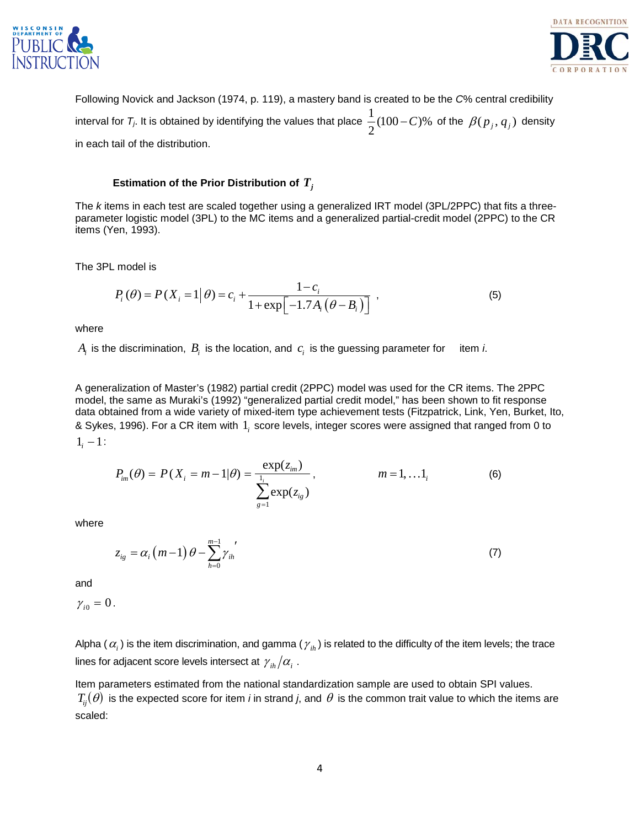



Following Novick and Jackson (1974, p. 119), a mastery band is created to be the *C*% central credibility interval for  $\mathcal{T}_j$ . It is obtained by identifying the values that place  $\frac{1}{2}(100\!-\!C)\%$  of the  $\,\beta(\,p_{\,j},q_{\,j})\,$  density in each tail of the distribution.

# **Estimation of the Prior Distribution of** *Tj*

The *k* items in each test are scaled together using a generalized IRT model (3PL/2PPC) that fits a threeparameter logistic model (3PL) to the MC items and a generalized partial-credit model (2PPC) to the CR items (Yen, 1993).

The 3PL model is

$$
P_i(\theta) = P(X_i = 1 | \theta) = c_i + \frac{1 - c_i}{1 + \exp[-1.7A_i(\theta - B_i)]},
$$
\n(5)

where

 $A_i$  is the discrimination,  $B_i$  is the location, and  $c_i$  is the guessing parameter for item *i*.

A generalization of Master's (1982) partial credit (2PPC) model was used for the CR items. The 2PPC model, the same as Muraki's (1992) "generalized partial credit model," has been shown to fit response data obtained from a wide variety of mixed-item type achievement tests (Fitzpatrick, Link, Yen, Burket, Ito, & Sykes, 1996). For a CR item with 1*<sup>i</sup>* score levels, integer scores were assigned that ranged from 0 to  $1<sub>i</sub> - 1$ :

$$
P_{im}(\theta) = P(X_i = m - 1 | \theta) = \frac{\exp(z_{im})}{\sum_{g=1}^{l_i} \exp(z_{ig})}, \qquad m = 1, ... 1_i
$$
 (6)

where

$$
z_{ig} = \alpha_i \left( m - 1 \right) \theta - \sum_{h=0}^{m-1} \gamma_{ih} \tag{7}
$$

and

 $\gamma_{i0} = 0$ .

Alpha ( $\alpha_i$ ) is the item discrimination, and gamma ( $\gamma_{ih}$ ) is related to the difficulty of the item levels; the trace lines for adjacent score levels intersect at  $\gamma_{ih}/\alpha_i$ .

Item parameters estimated from the national standardization sample are used to obtain SPI values.  $T_{ij}(\theta)$  is the expected score for item *i* in strand *j*, and  $\theta$  is the common trait value to which the items are scaled: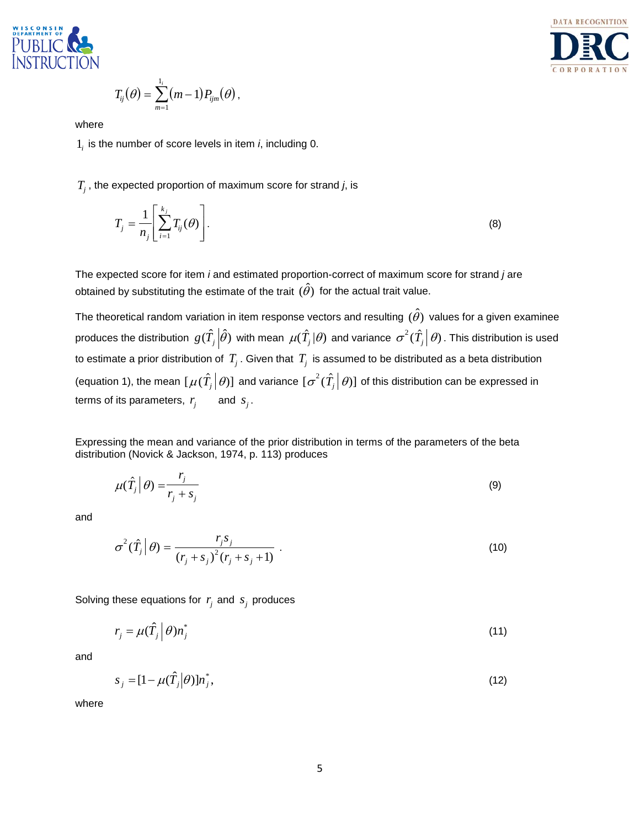



$$
T_{ij}(\theta) = \sum_{m=1}^{1_i} (m-1) P_{ijm}(\theta)
$$

where

1*<sup>i</sup>* is the number of score levels in item *i*, including 0.

*Tj* , the expected proportion of maximum score for strand *j*, is

,

$$
T_j = \frac{1}{n_j} \left[ \sum_{i=1}^{k_j} T_{ij}(\theta) \right].
$$
 (8)

The expected score for item *i* and estimated proportion-correct of maximum score for strand *j* are obtained by substituting the estimate of the trait  $(\hat{\theta})$  for the actual trait value.

The theoretical random variation in item response vectors and resulting  $(\hat{\theta})$  values for a given examinee produces the distribution  $|g(\hat{T_j}\big|\hat{\theta})$  with mean  $\mu(\hat{T_j}|\theta)$  and variance  $|\sigma^2(\hat{T_j}\big|\theta)$  . This distribution is used to estimate a prior distribution of  $T_i$ . Given that  $T_i$  is assumed to be distributed as a beta distribution (equation 1), the mean  $[\mu(\hat{T}_j|\theta)]$  and variance  $[\sigma^2(\hat{T}_j|\theta)]$  of this distribution can be expressed in terms of its parameters,  $r_i$  and  $s_i$ .

Expressing the mean and variance of the prior distribution in terms of the parameters of the beta distribution (Novick & Jackson, 1974, p. 113) produces

$$
\mu(\hat{T}_j|\theta) = \frac{r_j}{r_j + s_j} \tag{9}
$$

and

$$
\sigma^{2}(\hat{T}_{j}|\theta) = \frac{r_{j}s_{j}}{(r_{j} + s_{j})^{2}(r_{j} + s_{j} + 1)}.
$$
\n(10)

Solving these equations for  $r_i$  and  $s_i$  produces

$$
r_j = \mu(\hat{T}_j \mid \theta) n_j^* \tag{11}
$$

and

$$
s_j = [1 - \mu(\hat{T}_j|\theta)]n_j^*,
$$
\n(12)

where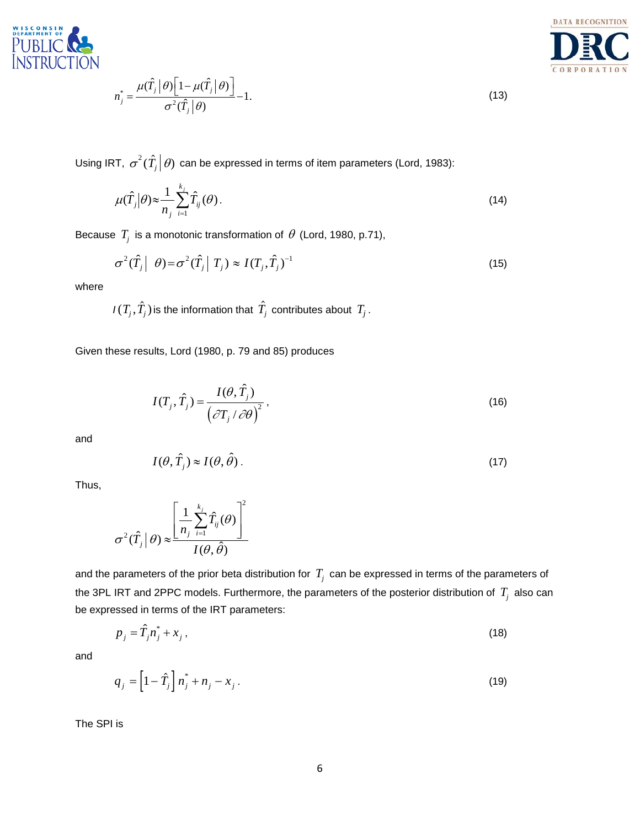

$$
n_j^* = \frac{\mu(\hat{T}_j \,|\, \theta) \Big[ 1 - \mu(\hat{T}_j \,|\, \theta) \Big]}{\sigma^2(\hat{T}_j \,|\, \theta)} - 1. \tag{13}
$$



Using IRT,  $\, \sigma^2(\hat{T}_j \big| \theta) \,$  can be expressed in terms of item parameters (Lord, 1983):

$$
\mu(\hat{T}_j|\theta) \approx \frac{1}{n_j} \sum_{i=1}^{k_j} \hat{T}_{ij}(\theta).
$$
\n(14)

Because  $T_j$  is a monotonic transformation of  $\theta$  (Lord, 1980, p.71),

$$
\sigma^2(\hat{T}_j \mid \theta) = \sigma^2(\hat{T}_j \mid T_j) \approx I(T_j, \hat{T}_j)^{-1}
$$
\n(15)

where

$$
I(T_j, \hat{T}_j)
$$
 is the information that  $\hat{T}_j$  contributes about  $T_j$ .

Given these results, Lord (1980, p. 79 and 85) produces

$$
I(T_j, \hat{T}_j) = \frac{I(\theta, \hat{T}_j)}{(\partial T_j / \partial \theta)^2},
$$
\n(16)

and

$$
I(\theta, \hat{T}_j) \approx I(\theta, \hat{\theta}).
$$
\n(17)

Thus,

$$
\sigma^2(\hat{T}_j|\theta) \approx \frac{\left[\frac{1}{n_j}\sum_{i=1}^{k_j} \hat{T}_{ij}(\theta)\right]^2}{I(\theta, \hat{\theta})}
$$

and the parameters of the prior beta distribution for  $T_j$  can be expressed in terms of the parameters of the 3PL IRT and 2PPC models. Furthermore, the parameters of the posterior distribution of  $T_j$  also can be expressed in terms of the IRT parameters:

$$
p_j = \hat{T}_j n_j^* + x_j \,,\tag{18}
$$

and

$$
q_j = \left[1 - \hat{T}_j\right] n_j^* + n_j - x_j \,. \tag{19}
$$

The SPI is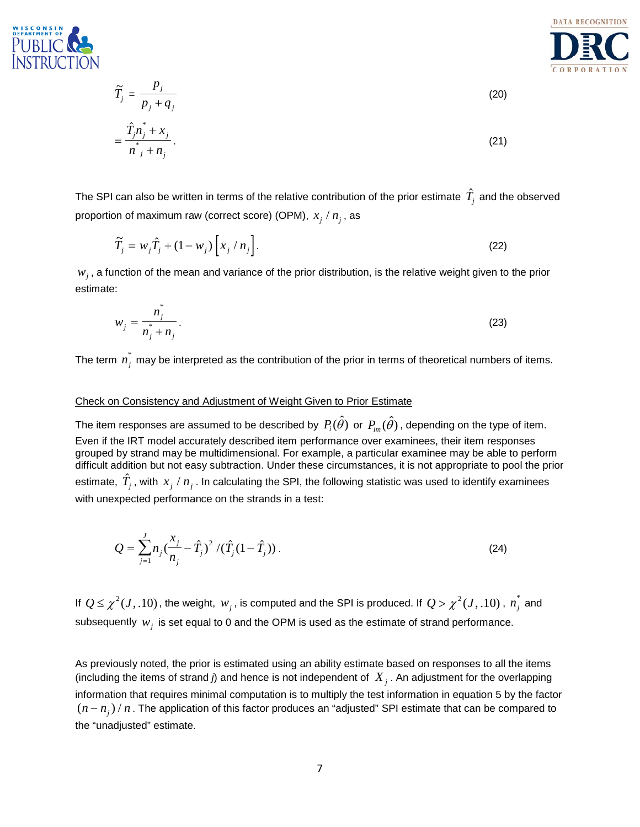

$$
\widetilde{T}_j = \frac{p_j}{p_j + q_j}
$$
\n
$$
= \frac{\widehat{T}_j n_j^* + x_j}{n_j^* + n_j}.
$$
\n(20)

The SPI can also be written in terms of the relative contribution of the prior estimate  $\hat{T_j}$  and the observed proportion of maximum raw (correct score) (OPM),  $x_i / n_i$ , as

$$
\widetilde{T}_j = w_j \widehat{T}_j + (1 - w_j) \left[ x_j / n_j \right]. \tag{22}
$$

 $w_j$ , a function of the mean and variance of the prior distribution, is the relative weight given to the prior estimate:

$$
w_j = \frac{n_j^*}{n_j + n_j}.
$$
\n<sup>(23)</sup>

The term  $\vec{n_j}$  may be interpreted as the contribution of the prior in terms of theoretical numbers of items.

#### Check on Consistency and Adjustment of Weight Given to Prior Estimate

The item responses are assumed to be described by  $P_i(\hat{\theta})$  or  $P_{i,m}(\hat{\theta})$ , depending on the type of item. Even if the IRT model accurately described item performance over examinees, their item responses grouped by strand may be multidimensional. For example, a particular examinee may be able to perform difficult addition but not easy subtraction. Under these circumstances, it is not appropriate to pool the prior estimate,  $\hat{T}_j$  , with  $\,x_j$  /  $n_j$  . In calculating the SPI, the following statistic was used to identify examinees with unexpected performance on the strands in a test:

$$
Q = \sum_{j=1}^{J} n_j \left(\frac{x_j}{n_j} - \hat{T}_j\right)^2 / (\hat{T}_j (1 - \hat{T}_j)) \,. \tag{24}
$$

If  $Q \leq \chi^2(J,.10)$  , the weight,  $w_j$  , is computed and the SPI is produced. If  $Q > \chi^2(J,.10)$  ,  $n_j^*$  and subsequently  $w_i$  is set equal to 0 and the OPM is used as the estimate of strand performance.

As previously noted, the prior is estimated using an ability estimate based on responses to all the items (including the items of strand *j*) and hence is not independent of *X <sup>j</sup>* . An adjustment for the overlapping information that requires minimal computation is to multiply the test information in equation 5 by the factor  $(n - n<sub>i</sub>) / n$ . The application of this factor produces an "adjusted" SPI estimate that can be compared to the "unadjusted" estimate.

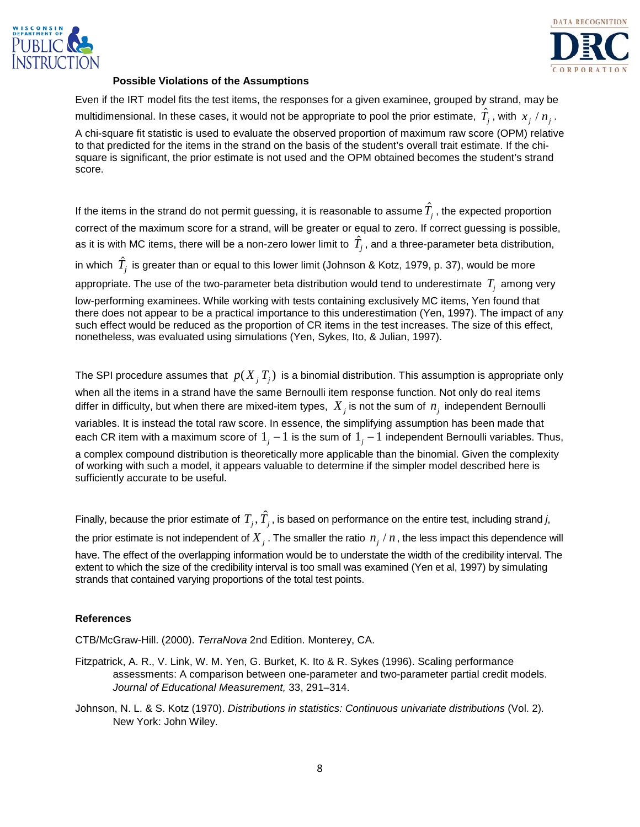



#### **Possible Violations of the Assumptions**

Even if the IRT model fits the test items, the responses for a given examinee, grouped by strand, may be multidimensional. In these cases, it would not be appropriate to pool the prior estimate,  $\hat{T}_j$  , with  $\,x_j \,/\,n_j^{}$  . A chi-square fit statistic is used to evaluate the observed proportion of maximum raw score (OPM) relative to that predicted for the items in the strand on the basis of the student's overall trait estimate. If the chisquare is significant, the prior estimate is not used and the OPM obtained becomes the student's strand score.

If the items in the strand do not permit guessing, it is reasonable to assume  $\hat{T}_j$  , the expected proportion correct of the maximum score for a strand, will be greater or equal to zero. If correct guessing is possible, as it is with MC items, there will be a non-zero lower limit to  $\hat{T}_j$ , and a three-parameter beta distribution,

in which  $\ \hat{T}_j$  is greater than or equal to this lower limit (Johnson & Kotz, 1979, p. 37), would be more

appropriate. The use of the two-parameter beta distribution would tend to underestimate  $T_i$  among very

low-performing examinees. While working with tests containing exclusively MC items, Yen found that there does not appear to be a practical importance to this underestimation (Yen, 1997). The impact of any such effect would be reduced as the proportion of CR items in the test increases. The size of this effect, nonetheless, was evaluated using simulations (Yen, Sykes, Ito, & Julian, 1997).

The SPI procedure assumes that  $p(X_i, T_i)$  is a binomial distribution. This assumption is appropriate only when all the items in a strand have the same Bernoulli item response function. Not only do real items differ in difficulty, but when there are mixed-item types,  $X_i$  is not the sum of  $n_i$  independent Bernoulli variables. It is instead the total raw score. In essence, the simplifying assumption has been made that each CR item with a maximum score of  $1<sub>j</sub> - 1$  is the sum of  $1<sub>j</sub> - 1$  independent Bernoulli variables. Thus, a complex compound distribution is theoretically more applicable than the binomial. Given the complexity of working with such a model, it appears valuable to determine if the simpler model described here is sufficiently accurate to be useful.

Finally, because the prior estimate of  $T_j$ ,  $\hat{T}_j$ , is based on performance on the entire test, including strand *j*, the prior estimate is not independent of  $X_i$ . The smaller the ratio  $n_i/n$ , the less impact this dependence will have. The effect of the overlapping information would be to understate the width of the credibility interval. The extent to which the size of the credibility interval is too small was examined (Yen et al, 1997) by simulating strands that contained varying proportions of the total test points.

## **References**

CTB/McGraw-Hill. (2000). *TerraNova* 2nd Edition. Monterey, CA.

- Fitzpatrick, A. R., V. Link, W. M. Yen, G. Burket, K. Ito & R. Sykes (1996). Scaling performance assessments: A comparison between one-parameter and two-parameter partial credit models. *Journal of Educational Measurement,* 33, 291–314.
- Johnson, N. L. & S. Kotz (1970). *Distributions in statistics: Continuous univariate distributions* (Vol. 2)*.* New York: John Wiley.